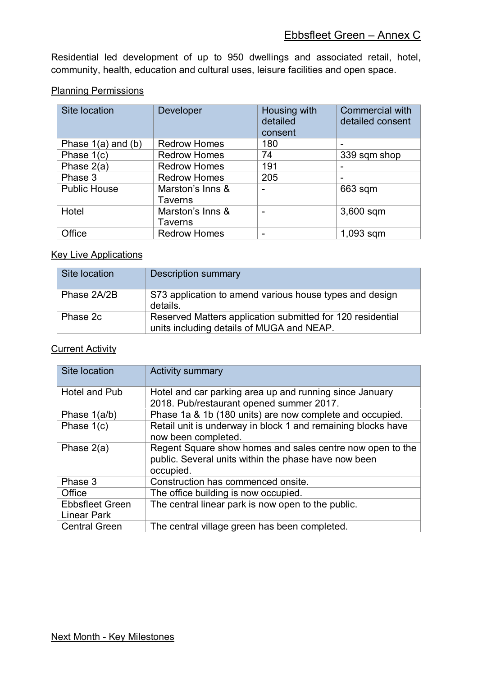## Ebbsfleet Green – Annex C

Residential led development of up to 950 dwellings and associated retail, hotel, community, health, education and cultural uses, leisure facilities and open space.

## **Planning Permissions**

| Site location          | Developer                          | Housing with<br>detailed<br>consent | <b>Commercial with</b><br>detailed consent |
|------------------------|------------------------------------|-------------------------------------|--------------------------------------------|
| Phase $1(a)$ and $(b)$ | <b>Redrow Homes</b>                | 180                                 | $\overline{\phantom{0}}$                   |
| Phase $1(c)$           | <b>Redrow Homes</b>                | 74                                  | 339 sqm shop                               |
| Phase 2(a)             | <b>Redrow Homes</b>                | 191                                 | $\overline{\phantom{0}}$                   |
| Phase 3                | <b>Redrow Homes</b>                | 205                                 | -                                          |
| <b>Public House</b>    | Marston's Inns &<br>Taverns        | $\overline{\phantom{0}}$            | 663 sqm                                    |
| Hotel                  | Marston's Inns &<br><b>Taverns</b> | $\overline{\phantom{0}}$            | 3,600 sqm                                  |
| Office                 | <b>Redrow Homes</b>                | $\overline{\phantom{0}}$            | $1,093$ sqm                                |

## **Key Live Applications**

| Site location | <b>Description summary</b>                                                                              |
|---------------|---------------------------------------------------------------------------------------------------------|
| Phase 2A/2B   | S73 application to amend various house types and design<br>details.                                     |
| Phase 2c      | Reserved Matters application submitted for 120 residential<br>units including details of MUGA and NEAP. |

## **Current Activity**

| Site location                                | <b>Activity summary</b>                                                                                                        |
|----------------------------------------------|--------------------------------------------------------------------------------------------------------------------------------|
| <b>Hotel and Pub</b>                         | Hotel and car parking area up and running since January<br>2018. Pub/restaurant opened summer 2017.                            |
| Phase 1(a/b)                                 | Phase 1a & 1b (180 units) are now complete and occupied.                                                                       |
| Phase $1(c)$                                 | Retail unit is underway in block 1 and remaining blocks have<br>now been completed.                                            |
| Phase $2(a)$                                 | Regent Square show homes and sales centre now open to the<br>public. Several units within the phase have now been<br>occupied. |
| Phase 3                                      | Construction has commenced onsite.                                                                                             |
| Office                                       | The office building is now occupied.                                                                                           |
| <b>Ebbsfleet Green</b><br><b>Linear Park</b> | The central linear park is now open to the public.                                                                             |
| <b>Central Green</b>                         | The central village green has been completed.                                                                                  |